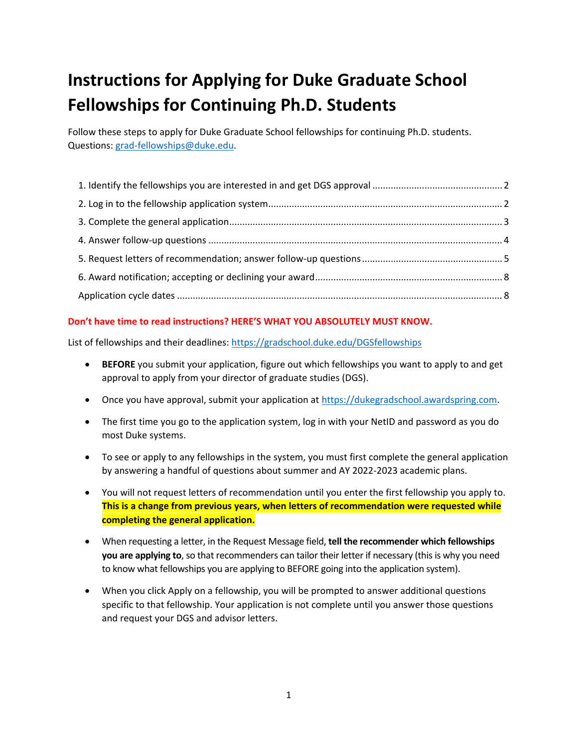# **Instructions for Applying for Duke Graduate School Fellowships for Continuing Ph.D. Students**

Follow these steps to apply for Duke Graduate School fellowships for continuing Ph.D. students. Questions: [grad-fellowships@duke.edu.](mailto:grad-fellowships@duke.edu)

#### **Don't have time to read instructions? HERE'S WHAT YOU ABSOLUTELY MUST KNOW.**

List of fellowships and their deadlines:<https://gradschool.duke.edu/DGSfellowships>

- **BEFORE** you submit your application, figure out which fellowships you want to apply to and get approval to apply from your director of graduate studies (DGS).
- Once you have approval, submit your application at [https://dukegradschool.awardspring.com.](https://dukegradschool.awardspring.com/)
- The first time you go to the application system, log in with your NetID and password as you do most Duke systems.
- To see or apply to any fellowships in the system, you must first complete the general application by answering a handful of questions about summer and AY 2022-2023 academic plans.
- You will not request letters of recommendation until you enter the first fellowship you apply to. **This is a change from previous years, when letters of recommendation were requested while completing the general application.**
- When requesting a letter, in the Request Message field, **tell the recommender which fellowships you are applying to**, so that recommenders can tailor their letter if necessary (this is why you need to know what fellowships you are applying to BEFORE going into the application system).
- When you click Apply on a fellowship, you will be prompted to answer additional questions specific to that fellowship. Your application is not complete until you answer those questions and request your DGS and advisor letters.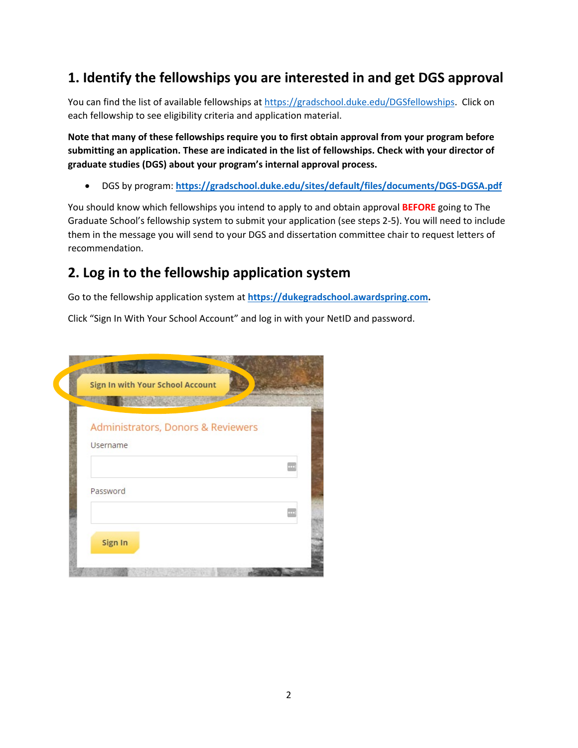# <span id="page-1-0"></span>**1. Identify the fellowships you are interested in and get DGS approval**

You can find the list of available fellowships at [https://gradschool.duke.edu/DGSfellowships.](https://gradschool.duke.edu/DGSfellowships) Click on each fellowship to see eligibility criteria and application material.

**Note that many of these fellowships require you to first obtain approval from your program before submitting an application. These are indicated in the list of fellowships. Check with your director of graduate studies (DGS) about your program's internal approval process.**

• DGS by program: **<https://gradschool.duke.edu/sites/default/files/documents/DGS-DGSA.pdf>**

You should know which fellowships you intend to apply to and obtain approval **BEFORE** going to The Graduate School's fellowship system to submit your application (see steps 2-5). You will need to include them in the message you will send to your DGS and dissertation committee chair to request letters of recommendation.

### <span id="page-1-1"></span>**2. Log in to the fellowship application system**

Go to the fellowship application system at **[https://dukegradschool.awardspring.com.](https://dukegradschool.awardspring.com/)**

Click "Sign In With Your School Account" and log in with your NetID and password.

|                 | <b>Sign In with Your School Account</b> |  |
|-----------------|-----------------------------------------|--|
|                 | Administrators, Donors & Reviewers      |  |
| <b>Username</b> |                                         |  |
|                 |                                         |  |
| Password        |                                         |  |
|                 |                                         |  |
| Sign In         |                                         |  |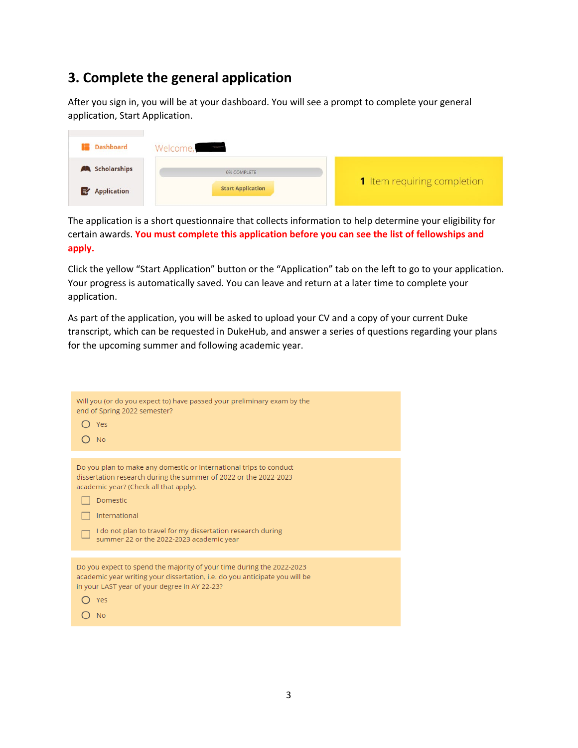# <span id="page-2-0"></span>**3. Complete the general application**

After you sign in, you will be at your dashboard. You will see a prompt to complete your general application, Start Application.

| <b>Dashboard</b>         | Welcome,                 |                             |
|--------------------------|--------------------------|-----------------------------|
| <b>AL</b> Scholarships   | 0% COMPLETE              |                             |
| <b>Application</b><br>౹⋑ | <b>Start Application</b> | 1 Item requiring completion |

The application is a short questionnaire that collects information to help determine your eligibility for certain awards. **You must complete this application before you can see the list of fellowships and apply.**

Click the yellow "Start Application" button or the "Application" tab on the left to go to your application. Your progress is automatically saved. You can leave and return at a later time to complete your application.

As part of the application, you will be asked to upload your CV and a copy of your current Duke transcript, which can be requested in DukeHub, and answer a series of questions regarding your plans for the upcoming summer and following academic year.

| Will you (or do you expect to) have passed your preliminary exam by the<br>end of Spring 2022 semester?<br>Yes<br><b>No</b>                                                                                                                                                                                              |
|--------------------------------------------------------------------------------------------------------------------------------------------------------------------------------------------------------------------------------------------------------------------------------------------------------------------------|
| Do you plan to make any domestic or international trips to conduct<br>dissertation research during the summer of 2022 or the 2022-2023<br>academic year? (Check all that apply).<br>Domestic<br>International<br>I do not plan to travel for my dissertation research during<br>summer 22 or the 2022-2023 academic year |
| Do you expect to spend the majority of your time during the 2022-2023<br>academic year writing your dissertation, i.e. do you anticipate you will be<br>in your LAST year of your degree in AY 22-23?<br>Yes<br>No                                                                                                       |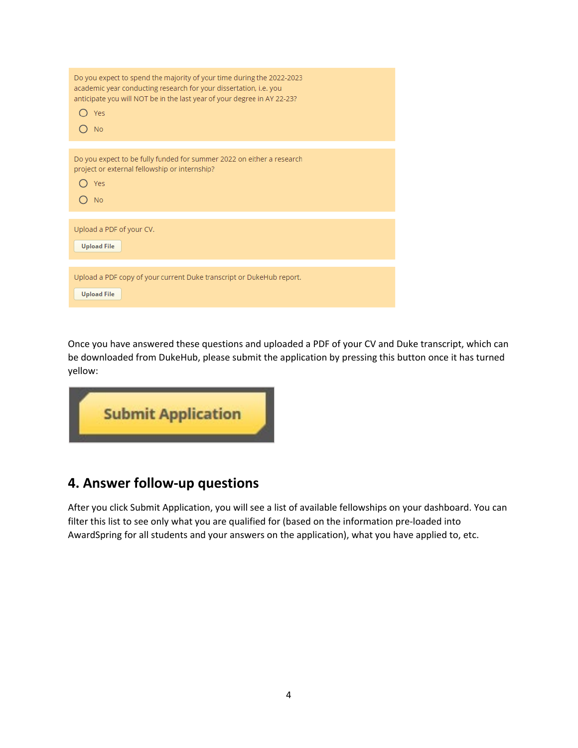| Do you expect to spend the majority of your time during the 2022-2023<br>academic year conducting research for your dissertation, i.e. you<br>anticipate you will NOT be in the last year of your degree in AY 22-23?<br>Yes<br><b>No</b> |
|-------------------------------------------------------------------------------------------------------------------------------------------------------------------------------------------------------------------------------------------|
|                                                                                                                                                                                                                                           |
| Do you expect to be fully funded for summer 2022 on either a research<br>project or external fellowship or internship?<br>Yes<br><b>No</b>                                                                                                |
|                                                                                                                                                                                                                                           |
| Upload a PDF of your CV.<br><b>Upload File</b>                                                                                                                                                                                            |
|                                                                                                                                                                                                                                           |
| Upload a PDF copy of your current Duke transcript or DukeHub report.<br><b>Upload File</b>                                                                                                                                                |

Once you have answered these questions and uploaded a PDF of your CV and Duke transcript, which can be downloaded from DukeHub, please submit the application by pressing this button once it has turned yellow:



## <span id="page-3-0"></span>**4. Answer follow-up questions**

After you click Submit Application, you will see a list of available fellowships on your dashboard. You can filter this list to see only what you are qualified for (based on the information pre-loaded into AwardSpring for all students and your answers on the application), what you have applied to, etc.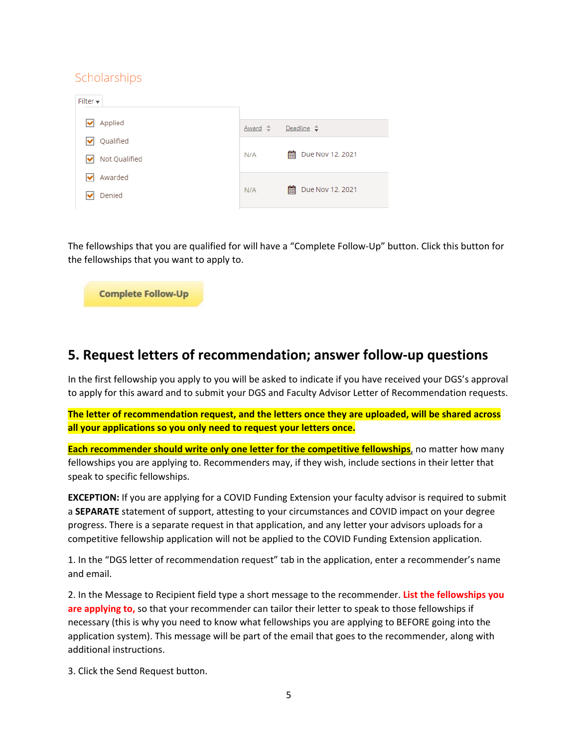#### Scholarships

| Filter $\blacktriangledown$ |                |                       |
|-----------------------------|----------------|-----------------------|
| Applied                     | $Award \oplus$ | Deadline $\hat{\div}$ |
| Qualified                   |                |                       |
| Not Qualified               | N/A            | 酾<br>Due Nov 12, 2021 |
| Awarded                     |                |                       |
| Denied                      | N/A            | 匾<br>Due Nov 12, 2021 |

The fellowships that you are qualified for will have a "Complete Follow-Up" button. Click this button for the fellowships that you want to apply to.



## <span id="page-4-0"></span>**5. Request letters of recommendation; answer follow-up questions**

In the first fellowship you apply to you will be asked to indicate if you have received your DGS's approval to apply for this award and to submit your DGS and Faculty Advisor Letter of Recommendation requests.

**The letter of recommendation request, and the letters once they are uploaded, will be shared across all your applications so you only need to request your letters once.**

**Each recommender should write only one letter for the competitive fellowships**, no matter how many fellowships you are applying to. Recommenders may, if they wish, include sections in their letter that speak to specific fellowships.

**EXCEPTION:** If you are applying for a COVID Funding Extension your faculty advisor is required to submit a **SEPARATE** statement of support, attesting to your circumstances and COVID impact on your degree progress. There is a separate request in that application, and any letter your advisors uploads for a competitive fellowship application will not be applied to the COVID Funding Extension application.

1. In the "DGS letter of recommendation request" tab in the application, enter a recommender's name and email.

2. In the Message to Recipient field type a short message to the recommender. **List the fellowships you are applying to,** so that your recommender can tailor their letter to speak to those fellowships if necessary (this is why you need to know what fellowships you are applying to BEFORE going into the application system). This message will be part of the email that goes to the recommender, along with additional instructions.

3. Click the Send Request button.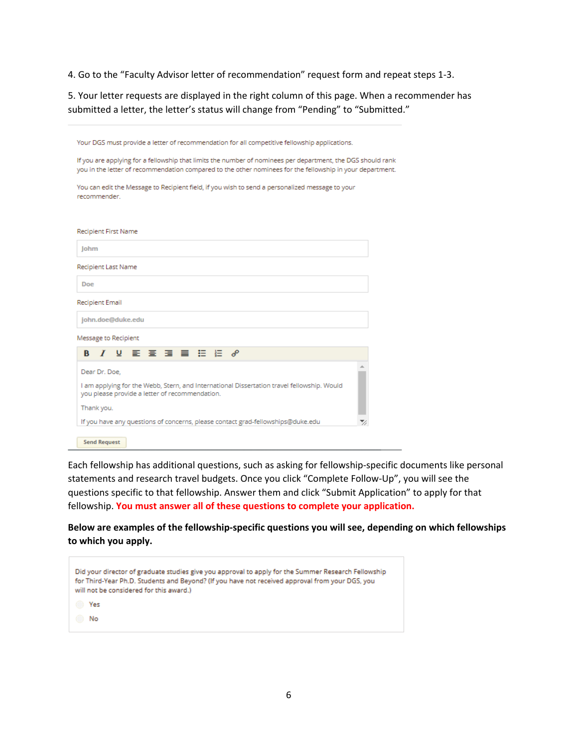4. Go to the "Faculty Advisor letter of recommendation" request form and repeat steps 1-3.

5. Your letter requests are displayed in the right column of this page. When a recommender has submitted a letter, the letter's status will change from "Pending" to "Submitted."

| Your DGS must provide a letter of recommendation for all competitive fellowship applications.                                                                                                                            |  |  |
|--------------------------------------------------------------------------------------------------------------------------------------------------------------------------------------------------------------------------|--|--|
| If you are applying for a fellowship that limits the number of nominees per department, the DGS should rank<br>you in the letter of recommendation compared to the other nominees for the fellowship in your department. |  |  |
| You can edit the Message to Recipient field, if you wish to send a personalized message to your<br>recommender.                                                                                                          |  |  |
|                                                                                                                                                                                                                          |  |  |
| Recipient First Name                                                                                                                                                                                                     |  |  |
| lohm                                                                                                                                                                                                                     |  |  |
| Recipient Last Name                                                                                                                                                                                                      |  |  |
| Doe                                                                                                                                                                                                                      |  |  |
| Recipient Email                                                                                                                                                                                                          |  |  |
| john.doe@duke.edu                                                                                                                                                                                                        |  |  |
| Message to Recipient                                                                                                                                                                                                     |  |  |
|                                                                                                                                                                                                                          |  |  |
| Dear Dr. Doe,                                                                                                                                                                                                            |  |  |
| I am applying for the Webb, Stern, and International Dissertation travel fellowship. Would<br>you please provide a letter of recommendation.                                                                             |  |  |
| Thank you.                                                                                                                                                                                                               |  |  |
| If you have any questions of concerns, please contact grad-fellowships@duke.edu                                                                                                                                          |  |  |
| <b>Send Request</b>                                                                                                                                                                                                      |  |  |

Each fellowship has additional questions, such as asking for fellowship-specific documents like personal statements and research travel budgets. Once you click "Complete Follow-Up", you will see the questions specific to that fellowship. Answer them and click "Submit Application" to apply for that fellowship. **You must answer all of these questions to complete your application.**

**Below are examples of the fellowship-specific questions you will see, depending on which fellowships to which you apply.**

| Did your director of graduate studies give you approval to apply for the Summer Research Fellowship<br>for Third-Year Ph.D. Students and Beyond? (If you have not received approval from your DGS, you<br>will not be considered for this award.) |  |
|---------------------------------------------------------------------------------------------------------------------------------------------------------------------------------------------------------------------------------------------------|--|
| Yes                                                                                                                                                                                                                                               |  |
| No                                                                                                                                                                                                                                                |  |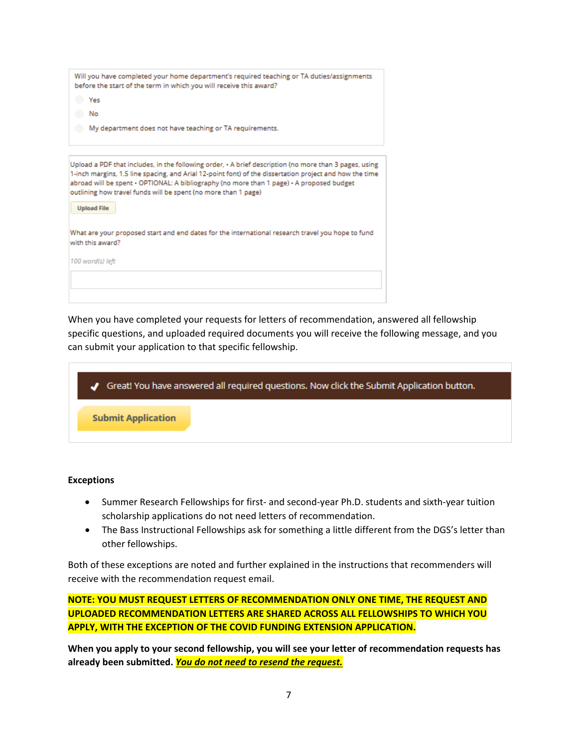|                    | Will you have completed your home department's required teaching or TA duties/assignments<br>before the start of the term in which you will receive this award?                                                                                                                                                                                                                        |
|--------------------|----------------------------------------------------------------------------------------------------------------------------------------------------------------------------------------------------------------------------------------------------------------------------------------------------------------------------------------------------------------------------------------|
| C Yes              |                                                                                                                                                                                                                                                                                                                                                                                        |
| No                 |                                                                                                                                                                                                                                                                                                                                                                                        |
|                    | My department does not have teaching or TA requirements.                                                                                                                                                                                                                                                                                                                               |
|                    |                                                                                                                                                                                                                                                                                                                                                                                        |
| <b>Upload File</b> | Upload a PDF that includes, in the following order, $\cdot$ A brief description (no more than 3 pages, using<br>1-inch margins, 1.5 line spacing, and Arial 12-point font) of the dissertation project and how the time<br>abroad will be spent · OPTIONAL: A bibliography (no more than 1 page) · A proposed budget<br>outlining how travel funds will be spent (no more than 1 page) |
|                    |                                                                                                                                                                                                                                                                                                                                                                                        |
| with this award?   | What are your proposed start and end dates for the international research travel you hope to fund                                                                                                                                                                                                                                                                                      |
| 100 word(s) left   |                                                                                                                                                                                                                                                                                                                                                                                        |
|                    |                                                                                                                                                                                                                                                                                                                                                                                        |
|                    |                                                                                                                                                                                                                                                                                                                                                                                        |
|                    |                                                                                                                                                                                                                                                                                                                                                                                        |

When you have completed your requests for letters of recommendation, answered all fellowship specific questions, and uploaded required documents you will receive the following message, and you can submit your application to that specific fellowship.



#### **Exceptions**

- Summer Research Fellowships for first- and second-year Ph.D. students and sixth-year tuition scholarship applications do not need letters of recommendation.
- The Bass Instructional Fellowships ask for something a little different from the DGS's letter than other fellowships.

Both of these exceptions are noted and further explained in the instructions that recommenders will receive with the recommendation request email.

**NOTE: YOU MUST REQUEST LETTERS OF RECOMMENDATION ONLY ONE TIME, THE REQUEST AND UPLOADED RECOMMENDATION LETTERS ARE SHARED ACROSS ALL FELLOWSHIPS TO WHICH YOU APPLY, WITH THE EXCEPTION OF THE COVID FUNDING EXTENSION APPLICATION.**

**When you apply to your second fellowship, you will see your letter of recommendation requests has already been submitted.** *You do not need to resend the request.*